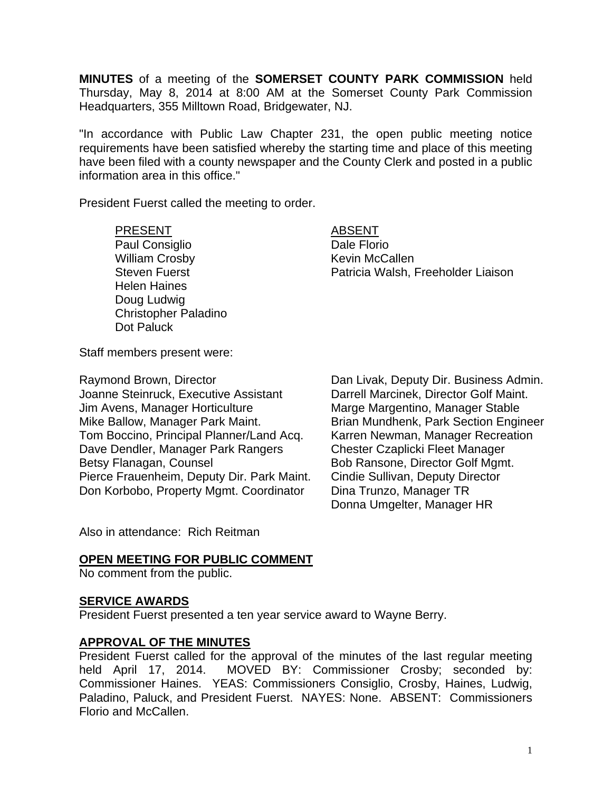**MINUTES** of a meeting of the **SOMERSET COUNTY PARK COMMISSION** held Thursday, May 8, 2014 at 8:00 AM at the Somerset County Park Commission Headquarters, 355 Milltown Road, Bridgewater, NJ.

"In accordance with Public Law Chapter 231, the open public meeting notice requirements have been satisfied whereby the starting time and place of this meeting have been filed with a county newspaper and the County Clerk and posted in a public information area in this office."

President Fuerst called the meeting to order.

#### PRESENT ABSENT

# Paul Consiglio **Dale Florio** William Crosby **Kevin McCallen** Helen Haines Doug Ludwig Christopher Paladino Dot Paluck

Steven Fuerst **Patricia Walsh, Freeholder Liaison** 

Staff members present were:

Joanne Steinruck, Executive Assistant Darrell Marcinek, Director Golf Maint. Jim Avens, Manager Horticulture **Marge Margentino**, Manager Stable Mike Ballow, Manager Park Maint. Brian Mundhenk, Park Section Engineer Tom Boccino, Principal Planner/Land Acq. Karren Newman, Manager Recreation Dave Dendler, Manager Park Rangers Chester Czaplicki Fleet Manager Betsy Flanagan, Counsel Bob Ransone, Director Golf Mgmt. Pierce Frauenheim, Deputy Dir. Park Maint. Cindie Sullivan, Deputy Director Don Korbobo, Property Mgmt. Coordinator Dina Trunzo, Manager TR

Raymond Brown, Director **Dan Livak, Deputy Dir. Business Admin.** Donna Umgelter, Manager HR

Also in attendance: Rich Reitman

## **OPEN MEETING FOR PUBLIC COMMENT**

No comment from the public.

## **SERVICE AWARDS**

President Fuerst presented a ten year service award to Wayne Berry.

## **APPROVAL OF THE MINUTES**

President Fuerst called for the approval of the minutes of the last regular meeting held April 17, 2014. MOVED BY: Commissioner Crosby; seconded by: Commissioner Haines. YEAS: Commissioners Consiglio, Crosby, Haines, Ludwig, Paladino, Paluck, and President Fuerst. NAYES: None. ABSENT: Commissioners Florio and McCallen.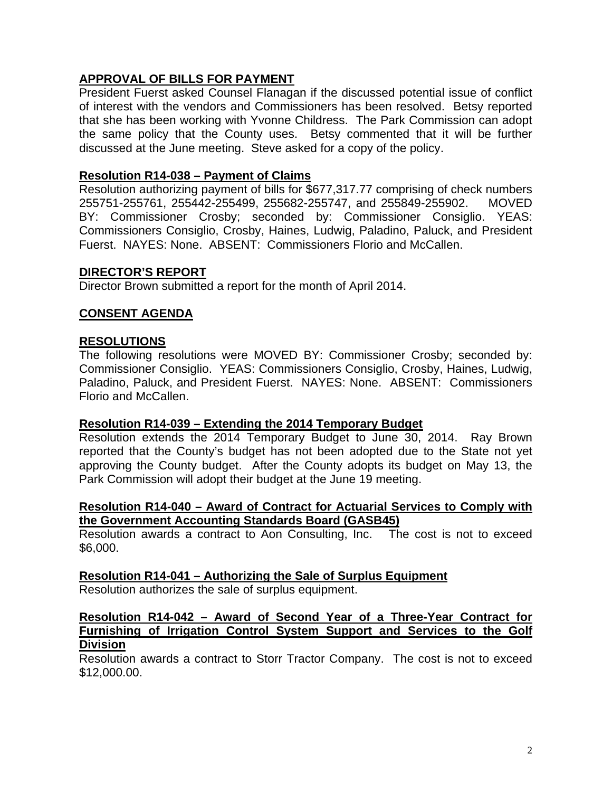## **APPROVAL OF BILLS FOR PAYMENT**

President Fuerst asked Counsel Flanagan if the discussed potential issue of conflict of interest with the vendors and Commissioners has been resolved. Betsy reported that she has been working with Yvonne Childress. The Park Commission can adopt the same policy that the County uses. Betsy commented that it will be further discussed at the June meeting. Steve asked for a copy of the policy.

## **Resolution R14-038 – Payment of Claims**

Resolution authorizing payment of bills for \$677,317.77 comprising of check numbers 255751-255761, 255442-255499, 255682-255747, and 255849-255902. MOVED BY: Commissioner Crosby; seconded by: Commissioner Consiglio. YEAS: Commissioners Consiglio, Crosby, Haines, Ludwig, Paladino, Paluck, and President Fuerst. NAYES: None. ABSENT: Commissioners Florio and McCallen.

## **DIRECTOR'S REPORT**

Director Brown submitted a report for the month of April 2014.

## **CONSENT AGENDA**

## **RESOLUTIONS**

The following resolutions were MOVED BY: Commissioner Crosby; seconded by: Commissioner Consiglio. YEAS: Commissioners Consiglio, Crosby, Haines, Ludwig, Paladino, Paluck, and President Fuerst. NAYES: None. ABSENT: Commissioners Florio and McCallen.

## **Resolution R14-039 – Extending the 2014 Temporary Budget**

Resolution extends the 2014 Temporary Budget to June 30, 2014. Ray Brown reported that the County's budget has not been adopted due to the State not yet approving the County budget. After the County adopts its budget on May 13, the Park Commission will adopt their budget at the June 19 meeting.

## **Resolution R14-040 – Award of Contract for Actuarial Services to Comply with the Government Accounting Standards Board (GASB45)**

Resolution awards a contract to Aon Consulting, Inc. The cost is not to exceed \$6,000.

## **Resolution R14-041 – Authorizing the Sale of Surplus Equipment**

Resolution authorizes the sale of surplus equipment.

## **Resolution R14-042 – Award of Second Year of a Three-Year Contract for Furnishing of Irrigation Control System Support and Services to the Golf Division**

Resolution awards a contract to Storr Tractor Company. The cost is not to exceed \$12,000.00.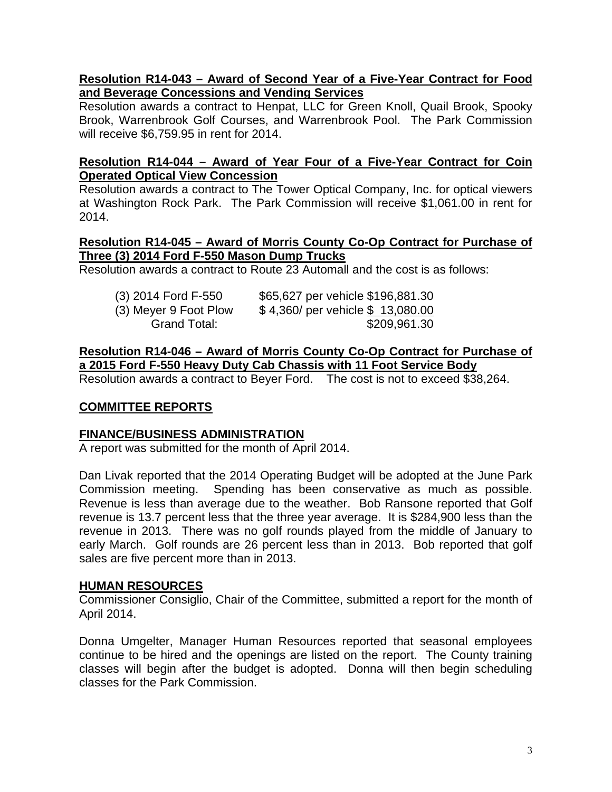## **Resolution R14-043 – Award of Second Year of a Five-Year Contract for Food and Beverage Concessions and Vending Services**

Resolution awards a contract to Henpat, LLC for Green Knoll, Quail Brook, Spooky Brook, Warrenbrook Golf Courses, and Warrenbrook Pool. The Park Commission will receive \$6,759.95 in rent for 2014.

## **Resolution R14-044 – Award of Year Four of a Five-Year Contract for Coin Operated Optical View Concession**

Resolution awards a contract to The Tower Optical Company, Inc. for optical viewers at Washington Rock Park. The Park Commission will receive \$1,061.00 in rent for 2014.

## **Resolution R14-045 – Award of Morris County Co-Op Contract for Purchase of Three (3) 2014 Ford F-550 Mason Dump Trucks**

Resolution awards a contract to Route 23 Automall and the cost is as follows:

| (3) 2014 Ford F-550   | \$65,627 per vehicle \$196,881.30 |
|-----------------------|-----------------------------------|
| (3) Meyer 9 Foot Plow | \$4,360/ per vehicle \$13,080.00  |
| Grand Total:          | \$209,961.30                      |

**Resolution R14-046 – Award of Morris County Co-Op Contract for Purchase of a 2015 Ford F-550 Heavy Duty Cab Chassis with 11 Foot Service Body** 

Resolution awards a contract to Beyer Ford. The cost is not to exceed \$38,264.

## **COMMITTEE REPORTS**

## **FINANCE/BUSINESS ADMINISTRATION**

A report was submitted for the month of April 2014.

Dan Livak reported that the 2014 Operating Budget will be adopted at the June Park Commission meeting. Spending has been conservative as much as possible. Revenue is less than average due to the weather. Bob Ransone reported that Golf revenue is 13.7 percent less that the three year average. It is \$284,900 less than the revenue in 2013. There was no golf rounds played from the middle of January to early March. Golf rounds are 26 percent less than in 2013. Bob reported that golf sales are five percent more than in 2013.

## **HUMAN RESOURCES**

Commissioner Consiglio, Chair of the Committee, submitted a report for the month of April 2014.

Donna Umgelter, Manager Human Resources reported that seasonal employees continue to be hired and the openings are listed on the report. The County training classes will begin after the budget is adopted. Donna will then begin scheduling classes for the Park Commission.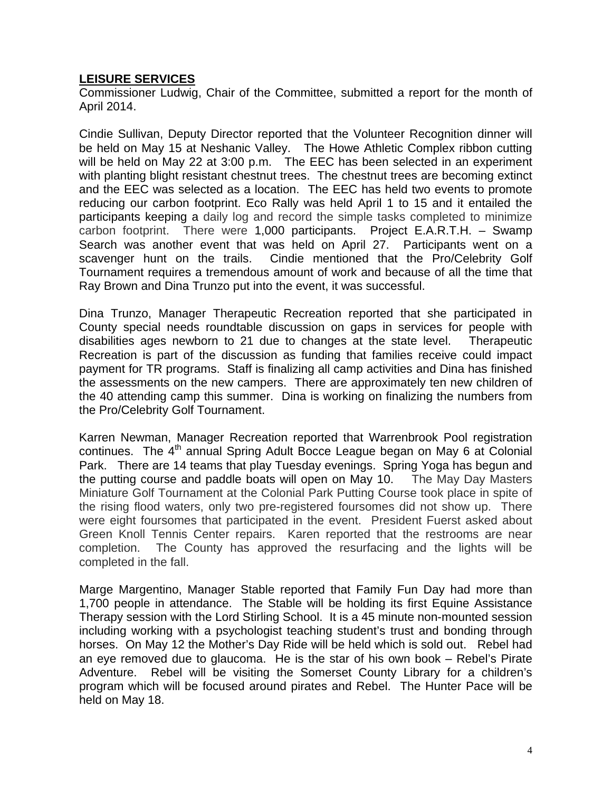## **LEISURE SERVICES**

Commissioner Ludwig, Chair of the Committee, submitted a report for the month of April 2014.

Cindie Sullivan, Deputy Director reported that the Volunteer Recognition dinner will be held on May 15 at Neshanic Valley. The Howe Athletic Complex ribbon cutting will be held on May 22 at 3:00 p.m. The EEC has been selected in an experiment with planting blight resistant chestnut trees. The chestnut trees are becoming extinct and the EEC was selected as a location. The EEC has held two events to promote reducing our carbon footprint. Eco Rally was held April 1 to 15 and it entailed the participants keeping a daily log and record the simple tasks completed to minimize carbon footprint. There were 1,000 participants. Project E.A.R.T.H. – Swamp Search was another event that was held on April 27. Participants went on a scavenger hunt on the trails. Cindie mentioned that the Pro/Celebrity Golf Tournament requires a tremendous amount of work and because of all the time that Ray Brown and Dina Trunzo put into the event, it was successful.

Dina Trunzo, Manager Therapeutic Recreation reported that she participated in County special needs roundtable discussion on gaps in services for people with disabilities ages newborn to 21 due to changes at the state level. Therapeutic Recreation is part of the discussion as funding that families receive could impact payment for TR programs. Staff is finalizing all camp activities and Dina has finished the assessments on the new campers. There are approximately ten new children of the 40 attending camp this summer. Dina is working on finalizing the numbers from the Pro/Celebrity Golf Tournament.

Karren Newman, Manager Recreation reported that Warrenbrook Pool registration continues. The 4<sup>th</sup> annual Spring Adult Bocce League began on May 6 at Colonial Park. There are 14 teams that play Tuesday evenings. Spring Yoga has begun and the putting course and paddle boats will open on May 10. The May Day Masters Miniature Golf Tournament at the Colonial Park Putting Course took place in spite of the rising flood waters, only two pre-registered foursomes did not show up. There were eight foursomes that participated in the event. President Fuerst asked about Green Knoll Tennis Center repairs. Karen reported that the restrooms are near completion. The County has approved the resurfacing and the lights will be completed in the fall.

Marge Margentino, Manager Stable reported that Family Fun Day had more than 1,700 people in attendance. The Stable will be holding its first Equine Assistance Therapy session with the Lord Stirling School. It is a 45 minute non-mounted session including working with a psychologist teaching student's trust and bonding through horses. On May 12 the Mother's Day Ride will be held which is sold out. Rebel had an eye removed due to glaucoma. He is the star of his own book – Rebel's Pirate Adventure. Rebel will be visiting the Somerset County Library for a children's program which will be focused around pirates and Rebel. The Hunter Pace will be held on May 18.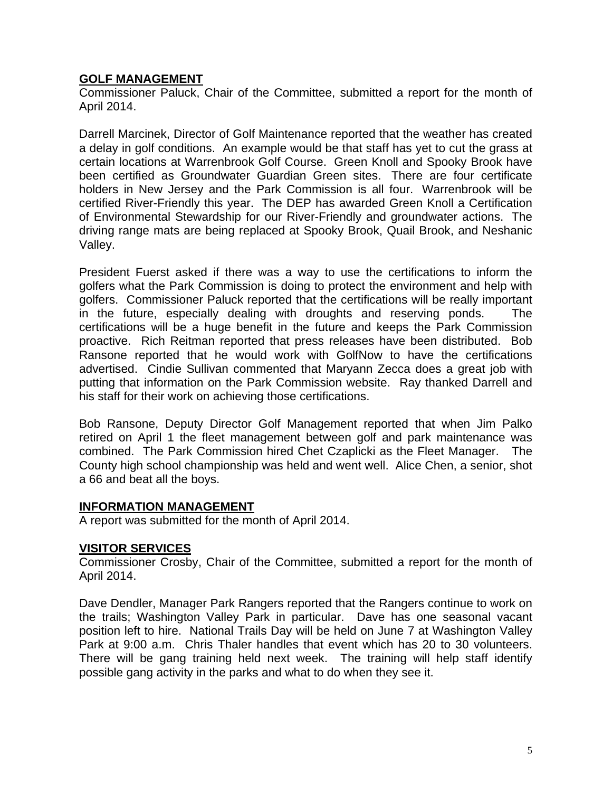## **GOLF MANAGEMENT**

Commissioner Paluck, Chair of the Committee, submitted a report for the month of April 2014.

Darrell Marcinek, Director of Golf Maintenance reported that the weather has created a delay in golf conditions. An example would be that staff has yet to cut the grass at certain locations at Warrenbrook Golf Course. Green Knoll and Spooky Brook have been certified as Groundwater Guardian Green sites. There are four certificate holders in New Jersey and the Park Commission is all four. Warrenbrook will be certified River-Friendly this year. The DEP has awarded Green Knoll a Certification of Environmental Stewardship for our River-Friendly and groundwater actions. The driving range mats are being replaced at Spooky Brook, Quail Brook, and Neshanic Valley.

President Fuerst asked if there was a way to use the certifications to inform the golfers what the Park Commission is doing to protect the environment and help with golfers. Commissioner Paluck reported that the certifications will be really important in the future, especially dealing with droughts and reserving ponds. The certifications will be a huge benefit in the future and keeps the Park Commission proactive. Rich Reitman reported that press releases have been distributed. Bob Ransone reported that he would work with GolfNow to have the certifications advertised. Cindie Sullivan commented that Maryann Zecca does a great job with putting that information on the Park Commission website. Ray thanked Darrell and his staff for their work on achieving those certifications.

Bob Ransone, Deputy Director Golf Management reported that when Jim Palko retired on April 1 the fleet management between golf and park maintenance was combined. The Park Commission hired Chet Czaplicki as the Fleet Manager. The County high school championship was held and went well. Alice Chen, a senior, shot a 66 and beat all the boys.

## **INFORMATION MANAGEMENT**

A report was submitted for the month of April 2014.

## **VISITOR SERVICES**

Commissioner Crosby, Chair of the Committee, submitted a report for the month of April 2014.

Dave Dendler, Manager Park Rangers reported that the Rangers continue to work on the trails; Washington Valley Park in particular. Dave has one seasonal vacant position left to hire. National Trails Day will be held on June 7 at Washington Valley Park at 9:00 a.m. Chris Thaler handles that event which has 20 to 30 volunteers. There will be gang training held next week. The training will help staff identify possible gang activity in the parks and what to do when they see it.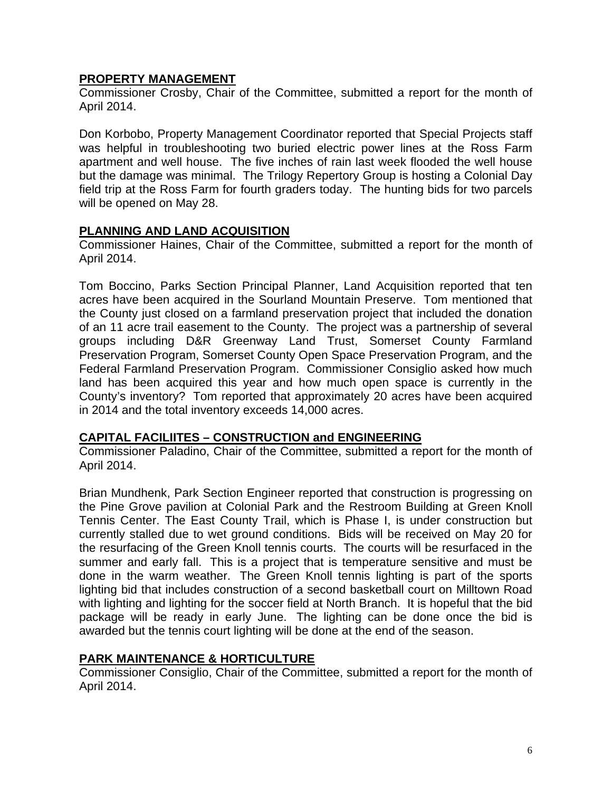## **PROPERTY MANAGEMENT**

Commissioner Crosby, Chair of the Committee, submitted a report for the month of April 2014.

Don Korbobo, Property Management Coordinator reported that Special Projects staff was helpful in troubleshooting two buried electric power lines at the Ross Farm apartment and well house. The five inches of rain last week flooded the well house but the damage was minimal. The Trilogy Repertory Group is hosting a Colonial Day field trip at the Ross Farm for fourth graders today. The hunting bids for two parcels will be opened on May 28.

## **PLANNING AND LAND ACQUISITION**

Commissioner Haines, Chair of the Committee, submitted a report for the month of April 2014.

Tom Boccino, Parks Section Principal Planner, Land Acquisition reported that ten acres have been acquired in the Sourland Mountain Preserve. Tom mentioned that the County just closed on a farmland preservation project that included the donation of an 11 acre trail easement to the County. The project was a partnership of several groups including D&R Greenway Land Trust, Somerset County Farmland Preservation Program, Somerset County Open Space Preservation Program, and the Federal Farmland Preservation Program. Commissioner Consiglio asked how much land has been acquired this year and how much open space is currently in the County's inventory? Tom reported that approximately 20 acres have been acquired in 2014 and the total inventory exceeds 14,000 acres.

## **CAPITAL FACILIITES – CONSTRUCTION and ENGINEERING**

Commissioner Paladino, Chair of the Committee, submitted a report for the month of April 2014.

Brian Mundhenk, Park Section Engineer reported that construction is progressing on the Pine Grove pavilion at Colonial Park and the Restroom Building at Green Knoll Tennis Center. The East County Trail, which is Phase I, is under construction but currently stalled due to wet ground conditions. Bids will be received on May 20 for the resurfacing of the Green Knoll tennis courts. The courts will be resurfaced in the summer and early fall. This is a project that is temperature sensitive and must be done in the warm weather. The Green Knoll tennis lighting is part of the sports lighting bid that includes construction of a second basketball court on Milltown Road with lighting and lighting for the soccer field at North Branch. It is hopeful that the bid package will be ready in early June. The lighting can be done once the bid is awarded but the tennis court lighting will be done at the end of the season.

## **PARK MAINTENANCE & HORTICULTURE**

Commissioner Consiglio, Chair of the Committee, submitted a report for the month of April 2014.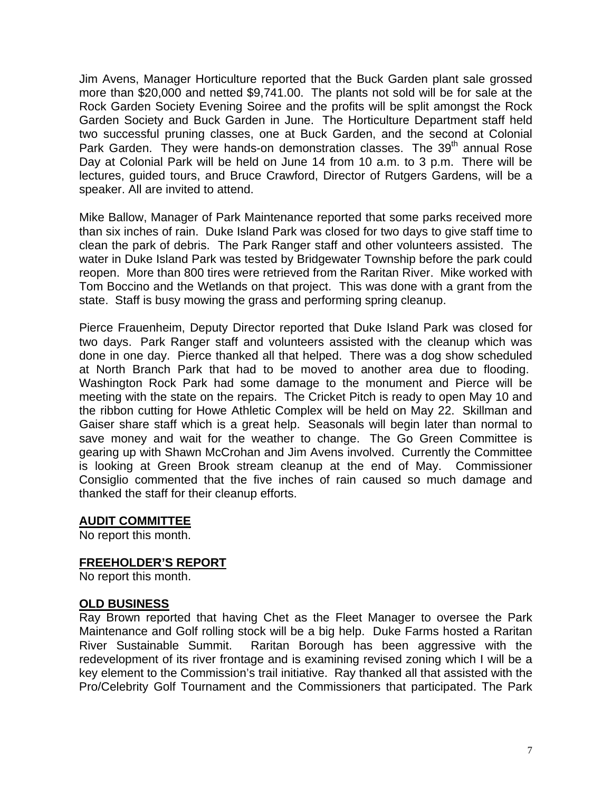Jim Avens, Manager Horticulture reported that the Buck Garden plant sale grossed more than \$20,000 and netted \$9,741.00. The plants not sold will be for sale at the Rock Garden Society Evening Soiree and the profits will be split amongst the Rock Garden Society and Buck Garden in June. The Horticulture Department staff held two successful pruning classes, one at Buck Garden, and the second at Colonial Park Garden. They were hands-on demonstration classes. The 39<sup>th</sup> annual Rose Day at Colonial Park will be held on June 14 from 10 a.m. to 3 p.m. There will be lectures, guided tours, and Bruce Crawford, Director of Rutgers Gardens, will be a speaker. All are invited to attend.

Mike Ballow, Manager of Park Maintenance reported that some parks received more than six inches of rain. Duke Island Park was closed for two days to give staff time to clean the park of debris. The Park Ranger staff and other volunteers assisted. The water in Duke Island Park was tested by Bridgewater Township before the park could reopen. More than 800 tires were retrieved from the Raritan River. Mike worked with Tom Boccino and the Wetlands on that project. This was done with a grant from the state. Staff is busy mowing the grass and performing spring cleanup.

Pierce Frauenheim, Deputy Director reported that Duke Island Park was closed for two days. Park Ranger staff and volunteers assisted with the cleanup which was done in one day. Pierce thanked all that helped. There was a dog show scheduled at North Branch Park that had to be moved to another area due to flooding. Washington Rock Park had some damage to the monument and Pierce will be meeting with the state on the repairs. The Cricket Pitch is ready to open May 10 and the ribbon cutting for Howe Athletic Complex will be held on May 22. Skillman and Gaiser share staff which is a great help. Seasonals will begin later than normal to save money and wait for the weather to change. The Go Green Committee is gearing up with Shawn McCrohan and Jim Avens involved. Currently the Committee is looking at Green Brook stream cleanup at the end of May. Commissioner Consiglio commented that the five inches of rain caused so much damage and thanked the staff for their cleanup efforts.

## **AUDIT COMMITTEE**

No report this month.

## **FREEHOLDER'S REPORT**

No report this month.

## **OLD BUSINESS**

Ray Brown reported that having Chet as the Fleet Manager to oversee the Park Maintenance and Golf rolling stock will be a big help. Duke Farms hosted a Raritan River Sustainable Summit. Raritan Borough has been aggressive with the redevelopment of its river frontage and is examining revised zoning which I will be a key element to the Commission's trail initiative. Ray thanked all that assisted with the Pro/Celebrity Golf Tournament and the Commissioners that participated. The Park